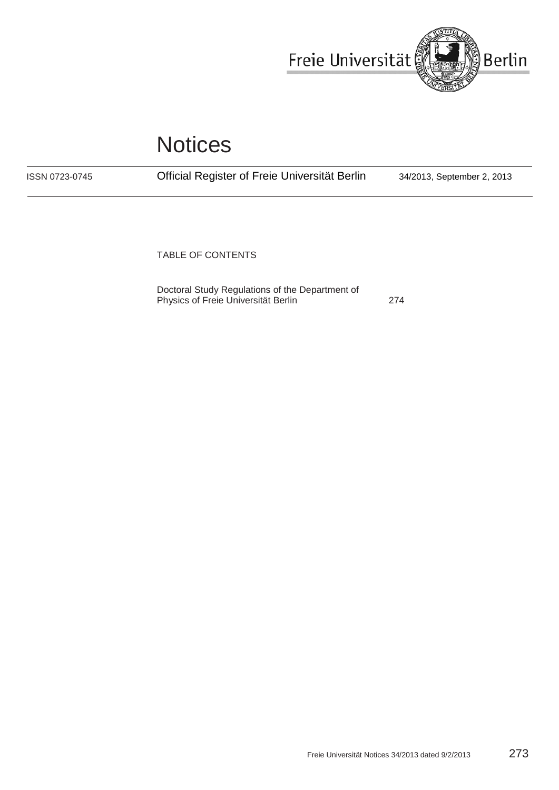

# **Notices**

ISSN 0723-0745

Official Register of Freie Universität Berlin 34/2013, September 2, 2013

TABLE OF CONTENTS

[Doctoral Study Regulations of the Department of](#page-1-0)  [Physics of](#page-1-0) [Freie Universität Berlin](#page-1-0) [274](#page-1-0)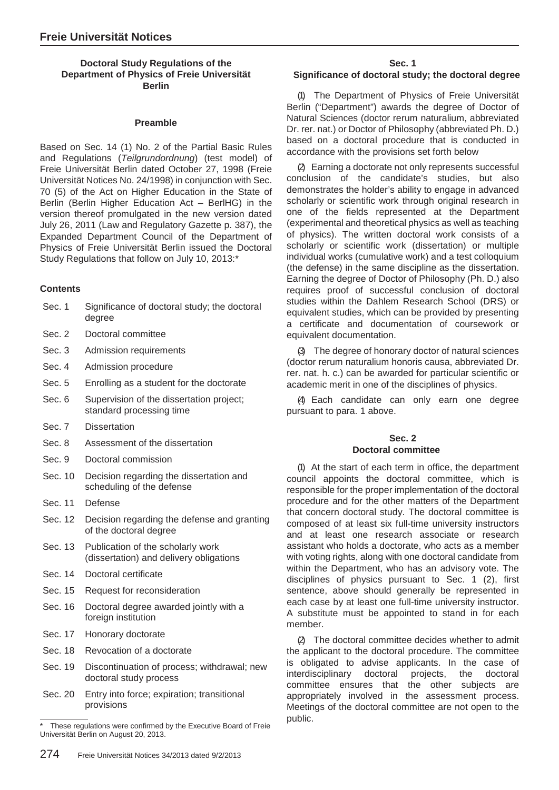## <span id="page-1-0"></span>**Doctoral Study Regulations of the Department of Physics of Freie Universität Berlin**

#### **Preamble**

Based on Sec. 14 (1) No. 2 of the Partial Basic Rules and Regulations (*Teilgrundordnung*) (test model) of Freie Universität Berlin dated October 27, 1998 (Freie Universität Notices No. 24/1998) in conjunction with Sec. 70 (5) of the Act on Higher Education in the State of Berlin (Berlin Higher Education Act – BerlHG) in the version thereof promulgated in the new version dated July 26, 2011 (Law and Regulatory Gazette p. 387), the Expanded Department Council of the Department of Physics of Freie Universität Berlin issued the Doctoral Study Regulations that follow on July 10, 2013:\*

#### **Contents**

| Sec. 1 | Significance of doctoral study; the doctoral |
|--------|----------------------------------------------|
|        | degree                                       |

- Sec. 2 Doctoral committee
- Sec. 3 Admission requirements
- Sec. 4 Admission procedure
- Sec. 5 Enrolling as a student for the doctorate
- Sec. 6 Supervision of the dissertation project; standard processing time
- Sec. 7 Dissertation
- Sec. 8 Assessment of the dissertation
- Sec. 9 Doctoral commission
- Sec. 10 Decision regarding the dissertation and scheduling of the defense
- Sec. 11 Defense
- Sec. 12 Decision regarding the defense and granting of the doctoral degree
- Sec. 13 Publication of the scholarly work (dissertation) and delivery obligations
- Sec. 14 Doctoral certificate
- Sec. 15 Request for reconsideration
- Sec. 16 Doctoral degree awarded jointly with a foreign institution
- Sec. 17 Honorary doctorate
- Sec. 18 Revocation of a doctorate
- Sec. 19 Discontinuation of process; withdrawal; new doctoral study process
- Sec. 20 Entry into force; expiration; transitional provisions

#### **Sec. 1 Significance of doctoral study; the doctoral degree**

(1) The Department of Physics of Freie Universität Berlin ("Department") awards the degree of Doctor of Natural Sciences (doctor rerum naturalium, abbreviated Dr. rer. nat.) or Doctor of Philosophy (abbreviated Ph. D.) based on a doctoral procedure that is conducted in accordance with the provisions set forth below

(2) Earning a doctorate not only represents successful conclusion of the candidate's studies, but also demonstrates the holder's ability to engage in advanced scholarly or scientific work through original research in one of the fields represented at the Department (experimental and theoretical physics as well as teaching of physics). The written doctoral work consists of a scholarly or scientific work (dissertation) or multiple individual works (cumulative work) and a test colloquium (the defense) in the same discipline as the dissertation. Earning the degree of Doctor of Philosophy (Ph. D.) also requires proof of successful conclusion of doctoral studies within the Dahlem Research School (DRS) or equivalent studies, which can be provided by presenting a certificate and documentation of coursework or equivalent documentation.

(3) The degree of honorary doctor of natural sciences (doctor rerum naturalium honoris causa, abbreviated Dr. rer. nat. h. c.) can be awarded for particular scientific or academic merit in one of the disciplines of physics.

(4) Each candidate can only earn one degree pursuant to para. 1 above.

# **Sec. 2 Doctoral committee**

(1) At the start of each term in office, the department council appoints the doctoral committee, which is responsible for the proper implementation of the doctoral procedure and for the other matters of the Department that concern doctoral study. The doctoral committee is composed of at least six full-time university instructors and at least one research associate or research assistant who holds a doctorate, who acts as a member with voting rights, along with one doctoral candidate from within the Department, who has an advisory vote. The disciplines of physics pursuant to Sec. 1 (2), first sentence, above should generally be represented in each case by at least one full-time university instructor. A substitute must be appointed to stand in for each member.

(2) The doctoral committee decides whether to admit the applicant to the doctoral procedure. The committee is obligated to advise applicants. In the case of interdisciplinary doctoral projects, the doctoral committee ensures that the other subjects are appropriately involved in the assessment process. Meetings of the doctoral committee are not open to the public.

These regulations were confirmed by the Executive Board of Freie Universität Berlin on August 20, 2013.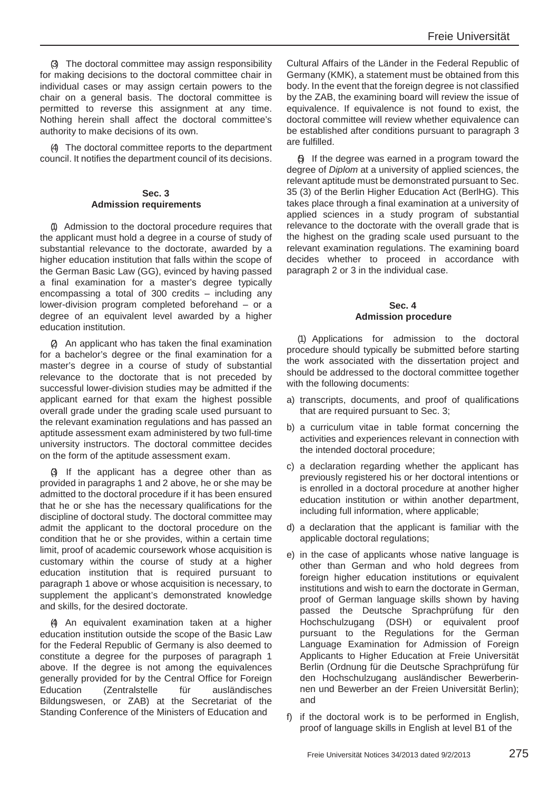(3) The doctoral committee may assign responsibility for making decisions to the doctoral committee chair in individual cases or may assign certain powers to the chair on a general basis. The doctoral committee is permitted to reverse this assignment at any time. Nothing herein shall affect the doctoral committee's authority to make decisions of its own.

(4) The doctoral committee reports to the department council. It notifies the department council of its decisions.

#### **Sec. 3 Admission requirements**

(1) Admission to the doctoral procedure requires that the applicant must hold a degree in a course of study of substantial relevance to the doctorate, awarded by a higher education institution that falls within the scope of the German Basic Law (GG), evinced by having passed a final examination for a master's degree typically encompassing a total of 300 credits – including any lower-division program completed beforehand – or a degree of an equivalent level awarded by a higher education institution.

(2) An applicant who has taken the final examination for a bachelor's degree or the final examination for a master's degree in a course of study of substantial relevance to the doctorate that is not preceded by successful lower-division studies may be admitted if the applicant earned for that exam the highest possible overall grade under the grading scale used pursuant to the relevant examination regulations and has passed an aptitude assessment exam administered by two full-time university instructors. The doctoral committee decides on the form of the aptitude assessment exam.

(3) If the applicant has a degree other than as provided in paragraphs 1 and 2 above, he or she may be admitted to the doctoral procedure if it has been ensured that he or she has the necessary qualifications for the discipline of doctoral study. The doctoral committee may admit the applicant to the doctoral procedure on the condition that he or she provides, within a certain time limit, proof of academic coursework whose acquisition is customary within the course of study at a higher education institution that is required pursuant to paragraph 1 above or whose acquisition is necessary, to supplement the applicant's demonstrated knowledge and skills, for the desired doctorate.

(4) An equivalent examination taken at a higher education institution outside the scope of the Basic Law for the Federal Republic of Germany is also deemed to constitute a degree for the purposes of paragraph 1 above. If the degree is not among the equivalences generally provided for by the Central Office for Foreign Education (Zentralstelle für ausländisches Bildungswesen, or ZAB) at the Secretariat of the Standing Conference of the Ministers of Education and

Cultural Affairs of the Länder in the Federal Republic of Germany (KMK), a statement must be obtained from this body. In the event that the foreign degree is not classified by the ZAB, the examining board will review the issue of equivalence. If equivalence is not found to exist, the doctoral committee will review whether equivalence can be established after conditions pursuant to paragraph 3 are fulfilled.

(5) If the degree was earned in a program toward the degree of *Diplom* at a university of applied sciences, the relevant aptitude must be demonstrated pursuant to Sec. 35 (3) of the Berlin Higher Education Act (BerlHG). This takes place through a final examination at a university of applied sciences in a study program of substantial relevance to the doctorate with the overall grade that is the highest on the grading scale used pursuant to the relevant examination regulations. The examining board decides whether to proceed in accordance with paragraph 2 or 3 in the individual case.

#### **Sec. 4 Admission procedure**

(1) Applications for admission to the doctoral procedure should typically be submitted before starting the work associated with the dissertation project and should be addressed to the doctoral committee together with the following documents:

- a) transcripts, documents, and proof of qualifications that are required pursuant to Sec. 3;
- b) a curriculum vitae in table format concerning the activities and experiences relevant in connection with the intended doctoral procedure;
- c) a declaration regarding whether the applicant has previously registered his or her doctoral intentions or is enrolled in a doctoral procedure at another higher education institution or within another department, including full information, where applicable;
- d) a declaration that the applicant is familiar with the applicable doctoral regulations;
- e) in the case of applicants whose native language is other than German and who hold degrees from foreign higher education institutions or equivalent institutions and wish to earn the doctorate in German, proof of German language skills shown by having passed the Deutsche Sprachprüfung für den Hochschulzugang (DSH) or equivalent proof pursuant to the Regulations for the German Language Examination for Admission of Foreign Applicants to Higher Education at Freie Universität Berlin (Ordnung für die Deutsche Sprachprüfung für den Hochschulzugang ausländischer Bewerberinnen und Bewerber an der Freien Universität Berlin); and
- f) if the doctoral work is to be performed in English, proof of language skills in English at level B1 of the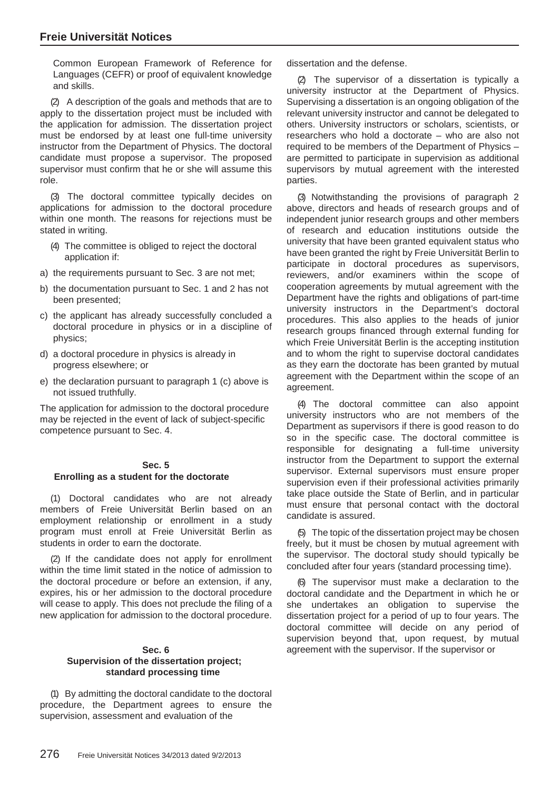Common European Framework of Reference for Languages (CEFR) or proof of equivalent knowledge and skills.

(2) A description of the goals and methods that are to apply to the dissertation project must be included with the application for admission. The dissertation project must be endorsed by at least one full-time university instructor from the Department of Physics. The doctoral candidate must propose a supervisor. The proposed supervisor must confirm that he or she will assume this role.

(3) The doctoral committee typically decides on applications for admission to the doctoral procedure within one month. The reasons for rejections must be stated in writing.

- (4) The committee is obliged to reject the doctoral application if:
- a) the requirements pursuant to Sec. 3 are not met;
- b) the documentation pursuant to Sec. 1 and 2 has not been presented;
- c) the applicant has already successfully concluded a doctoral procedure in physics or in a discipline of physics;
- d) a doctoral procedure in physics is already in progress elsewhere; or
- e) the declaration pursuant to paragraph 1 (c) above is not issued truthfully.

The application for admission to the doctoral procedure may be rejected in the event of lack of subject-specific competence pursuant to Sec. 4.

#### **Sec. 5 Enrolling as a student for the doctorate**

(1) Doctoral candidates who are not already members of Freie Universität Berlin based on an employment relationship or enrollment in a study program must enroll at Freie Universität Berlin as students in order to earn the doctorate.

(2) If the candidate does not apply for enrollment within the time limit stated in the notice of admission to the doctoral procedure or before an extension, if any, expires, his or her admission to the doctoral procedure will cease to apply. This does not preclude the filing of a new application for admission to the doctoral procedure.

#### **Sec. 6 Supervision of the dissertation project; standard processing time**

(1) By admitting the doctoral candidate to the doctoral procedure, the Department agrees to ensure the supervision, assessment and evaluation of the

dissertation and the defense.

(2) The supervisor of a dissertation is typically a university instructor at the Department of Physics. Supervising a dissertation is an ongoing obligation of the relevant university instructor and cannot be delegated to others. University instructors or scholars, scientists, or researchers who hold a doctorate – who are also not required to be members of the Department of Physics – are permitted to participate in supervision as additional supervisors by mutual agreement with the interested parties.

(3) Notwithstanding the provisions of paragraph 2 above, directors and heads of research groups and of independent junior research groups and other members of research and education institutions outside the university that have been granted equivalent status who have been granted the right by Freie Universität Berlin to participate in doctoral procedures as supervisors, reviewers, and/or examiners within the scope of cooperation agreements by mutual agreement with the Department have the rights and obligations of part-time university instructors in the Department's doctoral procedures. This also applies to the heads of junior research groups financed through external funding for which Freie Universität Berlin is the accepting institution and to whom the right to supervise doctoral candidates as they earn the doctorate has been granted by mutual agreement with the Department within the scope of an agreement.

(4) The doctoral committee can also appoint university instructors who are not members of the Department as supervisors if there is good reason to do so in the specific case. The doctoral committee is responsible for designating a full-time university instructor from the Department to support the external supervisor. External supervisors must ensure proper supervision even if their professional activities primarily take place outside the State of Berlin, and in particular must ensure that personal contact with the doctoral candidate is assured.

(5) The topic of the dissertation project may be chosen freely, but it must be chosen by mutual agreement with the supervisor. The doctoral study should typically be concluded after four years (standard processing time).

(6) The supervisor must make a declaration to the doctoral candidate and the Department in which he or she undertakes an obligation to supervise the dissertation project for a period of up to four years. The doctoral committee will decide on any period of supervision beyond that, upon request, by mutual agreement with the supervisor. If the supervisor or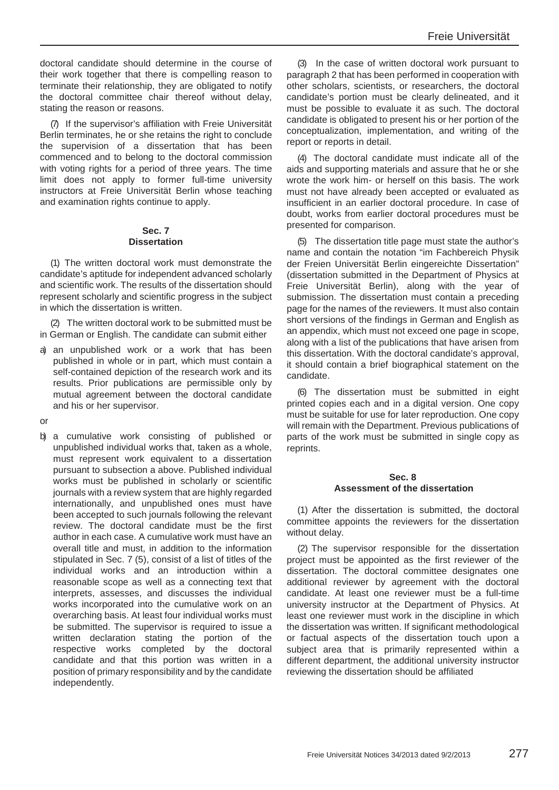doctoral candidate should determine in the course of their work together that there is compelling reason to terminate their relationship, they are obligated to notify the doctoral committee chair thereof without delay, stating the reason or reasons.

(7) If the supervisor's affiliation with Freie Universität Berlin terminates, he or she retains the right to conclude the supervision of a dissertation that has been commenced and to belong to the doctoral commission with voting rights for a period of three years. The time limit does not apply to former full-time university instructors at Freie Universität Berlin whose teaching and examination rights continue to apply.

## **Sec. 7 Dissertation**

(1) The written doctoral work must demonstrate the candidate's aptitude for independent advanced scholarly and scientific work. The results of the dissertation should represent scholarly and scientific progress in the subject in which the dissertation is written.

(2) The written doctoral work to be submitted must be in German or English. The candidate can submit either

a) an unpublished work or a work that has been published in whole or in part, which must contain a self-contained depiction of the research work and its results. Prior publications are permissible only by mutual agreement between the doctoral candidate and his or her supervisor.

or

b) a cumulative work consisting of published or unpublished individual works that, taken as a whole, must represent work equivalent to a dissertation pursuant to subsection a above. Published individual works must be published in scholarly or scientific journals with a review system that are highly regarded internationally, and unpublished ones must have been accepted to such journals following the relevant review. The doctoral candidate must be the first author in each case. A cumulative work must have an overall title and must, in addition to the information stipulated in Sec. 7 (5), consist of a list of titles of the individual works and an introduction within a reasonable scope as well as a connecting text that interprets, assesses, and discusses the individual works incorporated into the cumulative work on an overarching basis. At least four individual works must be submitted. The supervisor is required to issue a written declaration stating the portion of the respective works completed by the doctoral candidate and that this portion was written in a position of primary responsibility and by the candidate independently.

(3) In the case of written doctoral work pursuant to paragraph 2 that has been performed in cooperation with other scholars, scientists, or researchers, the doctoral candidate's portion must be clearly delineated, and it must be possible to evaluate it as such. The doctoral candidate is obligated to present his or her portion of the conceptualization, implementation, and writing of the report or reports in detail.

(4) The doctoral candidate must indicate all of the aids and supporting materials and assure that he or she wrote the work him- or herself on this basis. The work must not have already been accepted or evaluated as insufficient in an earlier doctoral procedure. In case of doubt, works from earlier doctoral procedures must be presented for comparison.

(5) The dissertation title page must state the author's name and contain the notation "im Fachbereich Physik der Freien Universität Berlin eingereichte Dissertation" (dissertation submitted in the Department of Physics at Freie Universität Berlin), along with the year of submission. The dissertation must contain a preceding page for the names of the reviewers. It must also contain short versions of the findings in German and English as an appendix, which must not exceed one page in scope, along with a list of the publications that have arisen from this dissertation. With the doctoral candidate's approval, it should contain a brief biographical statement on the candidate.

(6) The dissertation must be submitted in eight printed copies each and in a digital version. One copy must be suitable for use for later reproduction. One copy will remain with the Department. Previous publications of parts of the work must be submitted in single copy as reprints.

# **Sec. 8 Assessment of the dissertation**

(1) After the dissertation is submitted, the doctoral committee appoints the reviewers for the dissertation without delay.

(2) The supervisor responsible for the dissertation project must be appointed as the first reviewer of the dissertation. The doctoral committee designates one additional reviewer by agreement with the doctoral candidate. At least one reviewer must be a full-time university instructor at the Department of Physics. At least one reviewer must work in the discipline in which the dissertation was written. If significant methodological or factual aspects of the dissertation touch upon a subject area that is primarily represented within a different department, the additional university instructor reviewing the dissertation should be affiliated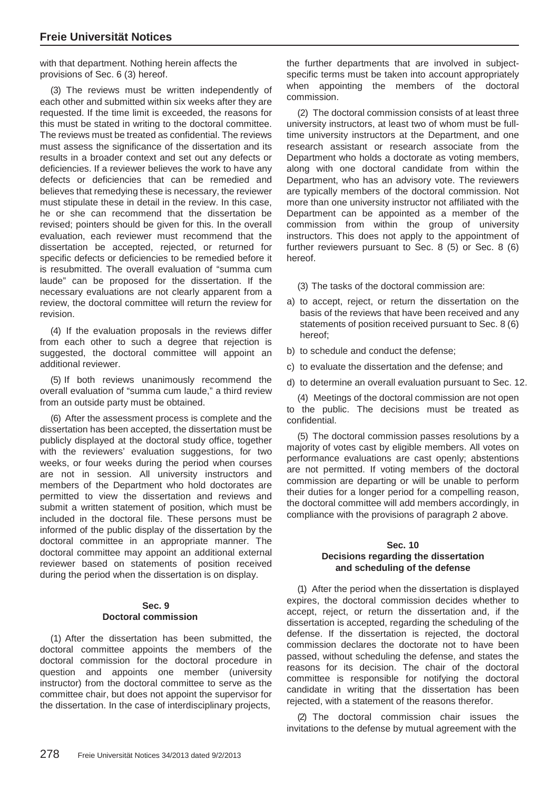with that department. Nothing herein affects the provisions of Sec. 6 (3) hereof.

(3) The reviews must be written independently of each other and submitted within six weeks after they are requested. If the time limit is exceeded, the reasons for this must be stated in writing to the doctoral committee. The reviews must be treated as confidential. The reviews must assess the significance of the dissertation and its results in a broader context and set out any defects or deficiencies. If a reviewer believes the work to have any defects or deficiencies that can be remedied and believes that remedying these is necessary, the reviewer must stipulate these in detail in the review. In this case, he or she can recommend that the dissertation be revised; pointers should be given for this. In the overall evaluation, each reviewer must recommend that the dissertation be accepted, rejected, or returned for specific defects or deficiencies to be remedied before it is resubmitted. The overall evaluation of "summa cum laude" can be proposed for the dissertation. If the necessary evaluations are not clearly apparent from a review, the doctoral committee will return the review for revision.

(4) If the evaluation proposals in the reviews differ from each other to such a degree that rejection is suggested, the doctoral committee will appoint an additional reviewer.

(5) If both reviews unanimously recommend the overall evaluation of "summa cum laude," a third review from an outside party must be obtained.

(6) After the assessment process is complete and the dissertation has been accepted, the dissertation must be publicly displayed at the doctoral study office, together with the reviewers' evaluation suggestions, for two weeks, or four weeks during the period when courses are not in session. All university instructors and members of the Department who hold doctorates are permitted to view the dissertation and reviews and submit a written statement of position, which must be included in the doctoral file. These persons must be informed of the public display of the dissertation by the doctoral committee in an appropriate manner. The doctoral committee may appoint an additional external reviewer based on statements of position received during the period when the dissertation is on display.

#### **Sec. 9 Doctoral commission**

(1) After the dissertation has been submitted, the doctoral committee appoints the members of the doctoral commission for the doctoral procedure in question and appoints one member (university instructor) from the doctoral committee to serve as the committee chair, but does not appoint the supervisor for the dissertation. In the case of interdisciplinary projects,

the further departments that are involved in subjectspecific terms must be taken into account appropriately when appointing the members of the doctoral commission.

(2) The doctoral commission consists of at least three university instructors, at least two of whom must be fulltime university instructors at the Department, and one research assistant or research associate from the Department who holds a doctorate as voting members, along with one doctoral candidate from within the Department, who has an advisory vote. The reviewers are typically members of the doctoral commission. Not more than one university instructor not affiliated with the Department can be appointed as a member of the commission from within the group of university instructors. This does not apply to the appointment of further reviewers pursuant to Sec. 8 (5) or Sec. 8 (6) hereof.

- (3) The tasks of the doctoral commission are:
- a) to accept, reject, or return the dissertation on the basis of the reviews that have been received and any statements of position received pursuant to Sec. 8 (6) hereof;
- b) to schedule and conduct the defense;
- c) to evaluate the dissertation and the defense; and
- d) to determine an overall evaluation pursuant to Sec. 12.

(4) Meetings of the doctoral commission are not open to the public. The decisions must be treated as confidential.

(5) The doctoral commission passes resolutions by a majority of votes cast by eligible members. All votes on performance evaluations are cast openly; abstentions are not permitted. If voting members of the doctoral commission are departing or will be unable to perform their duties for a longer period for a compelling reason, the doctoral committee will add members accordingly, in compliance with the provisions of paragraph 2 above.

#### **Sec. 10 Decisions regarding the dissertation and scheduling of the defense**

(1) After the period when the dissertation is displayed expires, the doctoral commission decides whether to accept, reject, or return the dissertation and, if the dissertation is accepted, regarding the scheduling of the defense. If the dissertation is rejected, the doctoral commission declares the doctorate not to have been passed, without scheduling the defense, and states the reasons for its decision. The chair of the doctoral committee is responsible for notifying the doctoral candidate in writing that the dissertation has been rejected, with a statement of the reasons therefor.

(2) The doctoral commission chair issues the invitations to the defense by mutual agreement with the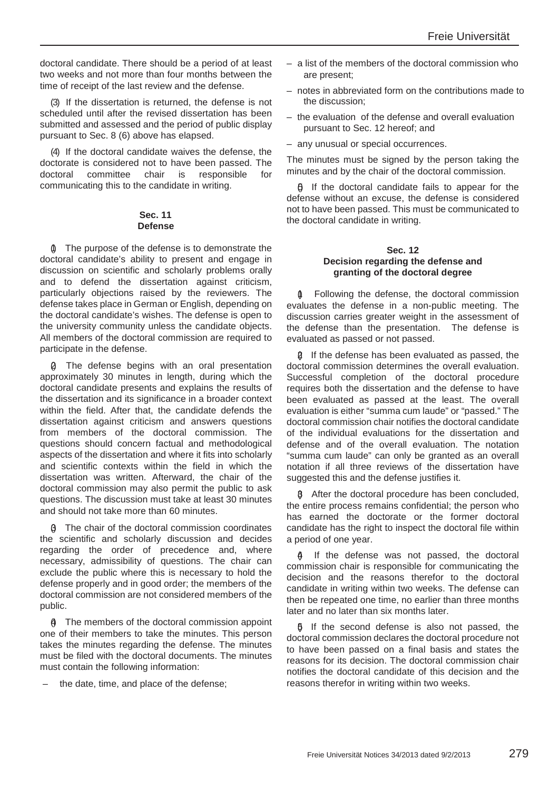doctoral candidate. There should be a period of at least two weeks and not more than four months between the time of receipt of the last review and the defense.

(3) If the dissertation is returned, the defense is not scheduled until after the revised dissertation has been submitted and assessed and the period of public display pursuant to Sec. 8 (6) above has elapsed.

(4) If the doctoral candidate waives the defense, the doctorate is considered not to have been passed. The doctoral committee chair is responsible for communicating this to the candidate in writing.

#### **Sec. 11 Defense**

(1) The purpose of the defense is to demonstrate the doctoral candidate's ability to present and engage in discussion on scientific and scholarly problems orally and to defend the dissertation against criticism, particularly objections raised by the reviewers. The defense takes place in German or English, depending on the doctoral candidate's wishes. The defense is open to the university community unless the candidate objects. All members of the doctoral commission are required to participate in the defense.

The defense begins with an oral presentation approximately 30 minutes in length, during which the doctoral candidate presents and explains the results of the dissertation and its significance in a broader context within the field. After that, the candidate defends the dissertation against criticism and answers questions from members of the doctoral commission. The questions should concern factual and methodological aspects of the dissertation and where it fits into scholarly and scientific contexts within the field in which the dissertation was written. Afterward, the chair of the doctoral commission may also permit the public to ask questions. The discussion must take at least 30 minutes and should not take more than 60 minutes.

(3) The chair of the doctoral commission coordinates the scientific and scholarly discussion and decides regarding the order of precedence and, where necessary, admissibility of questions. The chair can exclude the public where this is necessary to hold the defense properly and in good order; the members of the doctoral commission are not considered members of the public.

(4) The members of the doctoral commission appoint one of their members to take the minutes. This person takes the minutes regarding the defense. The minutes must be filed with the doctoral documents. The minutes must contain the following information:

– the date, time, and place of the defense;

- a list of the members of the doctoral commission who are present;
- notes in abbreviated form on the contributions made to the discussion;
- the evaluation of the defense and overall evaluation pursuant to Sec. 12 hereof; and
- any unusual or special occurrences.

The minutes must be signed by the person taking the minutes and by the chair of the doctoral commission.

 $6$  If the doctoral candidate fails to appear for the defense without an excuse, the defense is considered not to have been passed. This must be communicated to the doctoral candidate in writing.

#### **Sec. 12 Decision regarding the defense and granting of the doctoral degree**

(1) Following the defense, the doctoral commission evaluates the defense in a non-public meeting. The discussion carries greater weight in the assessment of the defense than the presentation. The defense is evaluated as passed or not passed.

(2) If the defense has been evaluated as passed, the doctoral commission determines the overall evaluation. Successful completion of the doctoral procedure requires both the dissertation and the defense to have been evaluated as passed at the least. The overall evaluation is either "summa cum laude" or "passed." The doctoral commission chair notifies the doctoral candidate of the individual evaluations for the dissertation and defense and of the overall evaluation. The notation "summa cum laude" can only be granted as an overall notation if all three reviews of the dissertation have suggested this and the defense justifies it.

(3) After the doctoral procedure has been concluded, the entire process remains confidential; the person who has earned the doctorate or the former doctoral candidate has the right to inspect the doctoral file within a period of one year.

If the defense was not passed, the doctoral commission chair is responsible for communicating the decision and the reasons therefor to the doctoral candidate in writing within two weeks. The defense can then be repeated one time, no earlier than three months later and no later than six months later.

 $6$  If the second defense is also not passed, the doctoral commission declares the doctoral procedure not to have been passed on a final basis and states the reasons for its decision. The doctoral commission chair notifies the doctoral candidate of this decision and the reasons therefor in writing within two weeks.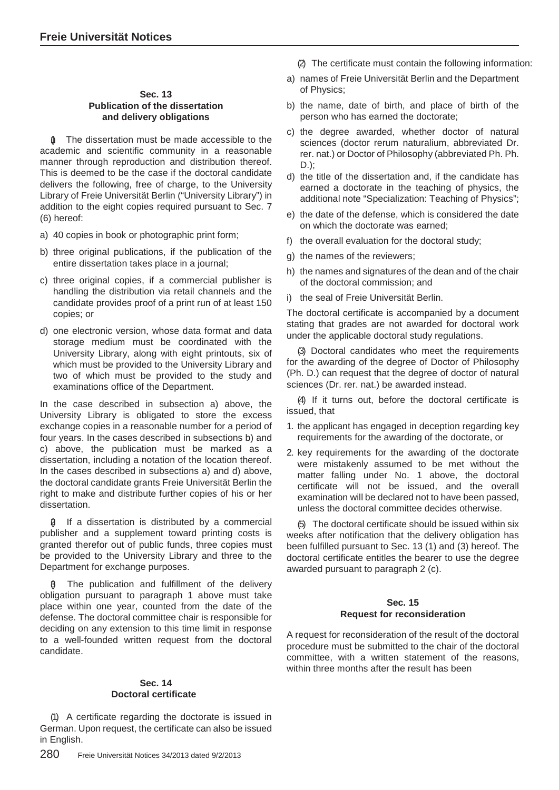## **Sec. 13 Publication of the dissertation and delivery obligations**

The dissertation must be made accessible to the academic and scientific community in a reasonable manner through reproduction and distribution thereof. This is deemed to be the case if the doctoral candidate delivers the following, free of charge, to the University Library of Freie Universität Berlin ("University Library") in addition to the eight copies required pursuant to Sec. 7 (6) hereof:

- a) 40 copies in book or photographic print form;
- b) three original publications, if the publication of the entire dissertation takes place in a journal;
- c) three original copies, if a commercial publisher is handling the distribution via retail channels and the candidate provides proof of a print run of at least 150 copies; or
- d) one electronic version, whose data format and data storage medium must be coordinated with the University Library, along with eight printouts, six of which must be provided to the University Library and two of which must be provided to the study and examinations office of the Department.

In the case described in subsection a) above, the University Library is obligated to store the excess exchange copies in a reasonable number for a period of four years. In the cases described in subsections b) and c) above, the publication must be marked as a dissertation, including a notation of the location thereof. In the cases described in subsections a) and d) above, the doctoral candidate grants Freie Universität Berlin the right to make and distribute further copies of his or her dissertation.

(2) If a dissertation is distributed by a commercial publisher and a supplement toward printing costs is granted therefor out of public funds, three copies must be provided to the University Library and three to the Department for exchange purposes.

(3) The publication and fulfillment of the delivery obligation pursuant to paragraph 1 above must take place within one year, counted from the date of the defense. The doctoral committee chair is responsible for deciding on any extension to this time limit in response to a well-founded written request from the doctoral candidate.

## **Sec. 14 Doctoral certificate**

(1) A certificate regarding the doctorate is issued in German. Upon request, the certificate can also be issued in English.

(2) The certificate must contain the following information:

- a) names of Freie Universität Berlin and the Department of Physics;
- b) the name, date of birth, and place of birth of the person who has earned the doctorate;
- c) the degree awarded, whether doctor of natural sciences (doctor rerum naturalium, abbreviated Dr. rer. nat.) or Doctor of Philosophy (abbreviated Ph. Ph. D.);
- d) the title of the dissertation and, if the candidate has earned a doctorate in the teaching of physics, the additional note "Specialization: Teaching of Physics";
- e) the date of the defense, which is considered the date on which the doctorate was earned;
- f) the overall evaluation for the doctoral study;
- g) the names of the reviewers;
- h) the names and signatures of the dean and of the chair of the doctoral commission; and
- i) the seal of Freie Universität Berlin.

The doctoral certificate is accompanied by a document stating that grades are not awarded for doctoral work under the applicable doctoral study regulations.

(3) Doctoral candidates who meet the requirements for the awarding of the degree of Doctor of Philosophy (Ph. D.) can request that the degree of doctor of natural sciences (Dr. rer. nat.) be awarded instead.

(4) If it turns out, before the doctoral certificate is issued, that

- 1. the applicant has engaged in deception regarding key requirements for the awarding of the doctorate, or
- 2. key requirements for the awarding of the doctorate were mistakenly assumed to be met without the matter falling under No. 1 above, the doctoral certificate will not be issued, and the overall examination will be declared not to have been passed, unless the doctoral committee decides otherwise.

(5) The doctoral certificate should be issued within six weeks after notification that the delivery obligation has been fulfilled pursuant to Sec. 13 (1) and (3) hereof. The doctoral certificate entitles the bearer to use the degree awarded pursuant to paragraph 2 (c).

#### **Sec. 15 Request for reconsideration**

A request for reconsideration of the result of the doctoral procedure must be submitted to the chair of the doctoral committee, with a written statement of the reasons, within three months after the result has been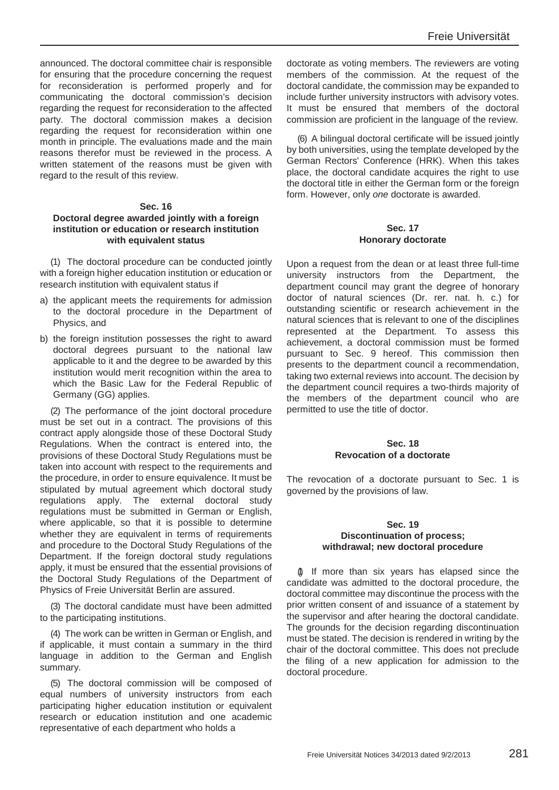announced. The doctoral committee chair is responsible for ensuring that the procedure concerning the request for reconsideration is performed properly and for communicating the doctoral commission's decision regarding the request for reconsideration to the affected party. The doctoral commission makes a decision regarding the request for reconsideration within one month in principle. The evaluations made and the main reasons therefor must be reviewed in the process. A written statement of the reasons must be given with regard to the result of this review.

#### **Sec. 16**

## **Doctoral degree awarded jointly with a foreign institution or education or research institution with equivalent status**

(1) The doctoral procedure can be conducted jointly with a foreign higher education institution or education or research institution with equivalent status if

- a) the applicant meets the requirements for admission to the doctoral procedure in the Department of Physics, and
- b) the foreign institution possesses the right to award doctoral degrees pursuant to the national law applicable to it and the degree to be awarded by this institution would merit recognition within the area to which the Basic Law for the Federal Republic of Germany (GG) applies.

(2) The performance of the joint doctoral procedure must be set out in a contract. The provisions of this contract apply alongside those of these Doctoral Study Regulations. When the contract is entered into, the provisions of these Doctoral Study Regulations must be taken into account with respect to the requirements and the procedure, in order to ensure equivalence. It must be stipulated by mutual agreement which doctoral study regulations apply. The external doctoral study regulations must be submitted in German or English, where applicable, so that it is possible to determine whether they are equivalent in terms of requirements and procedure to the Doctoral Study Regulations of the Department. If the foreign doctoral study regulations apply, it must be ensured that the essential provisions of the Doctoral Study Regulations of the Department of Physics of Freie Universität Berlin are assured.

(3) The doctoral candidate must have been admitted to the participating institutions.

(4) The work can be written in German or English, and if applicable, it must contain a summary in the third language in addition to the German and English summary.

(5) The doctoral commission will be composed of equal numbers of university instructors from each participating higher education institution or equivalent research or education institution and one academic representative of each department who holds a

doctorate as voting members. The reviewers are voting members of the commission. At the request of the doctoral candidate, the commission may be expanded to include further university instructors with advisory votes. It must be ensured that members of the doctoral commission are proficient in the language of the review.

(6) A bilingual doctoral certificate will be issued jointly by both universities, using the template developed by the German Rectors' Conference (HRK). When this takes place, the doctoral candidate acquires the right to use the doctoral title in either the German form or the foreign form. However, only *one* doctorate is awarded.

#### **Sec. 17 Honorary doctorate**

Upon a request from the dean or at least three full-time university instructors from the Department, the department council may grant the degree of honorary doctor of natural sciences (Dr. rer. nat. h. c.) for outstanding scientific or research achievement in the natural sciences that is relevant to one of the disciplines represented at the Department. To assess this achievement, a doctoral commission must be formed pursuant to Sec. 9 hereof. This commission then presents to the department council a recommendation, taking two external reviews into account. The decision by the department council requires a two-thirds majority of the members of the department council who are permitted to use the title of doctor.

## **Sec. 18 Revocation of a doctorate**

The revocation of a doctorate pursuant to Sec. 1 is governed by the provisions of law.

#### **Sec. 19 Discontinuation of process; withdrawal; new doctoral procedure**

(1) If more than six years has elapsed since the candidate was admitted to the doctoral procedure, the doctoral committee may discontinue the process with the prior written consent of and issuance of a statement by the supervisor and after hearing the doctoral candidate. The grounds for the decision regarding discontinuation must be stated. The decision is rendered in writing by the chair of the doctoral committee. This does not preclude the filing of a new application for admission to the doctoral procedure.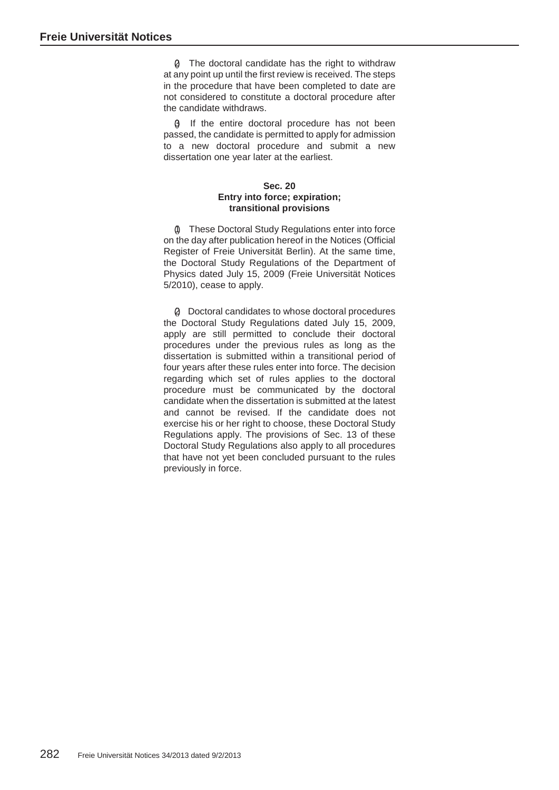(2) The doctoral candidate has the right to withdraw at any point up until the first review is received. The steps in the procedure that have been completed to date are not considered to constitute a doctoral procedure after the candidate withdraws.

(3) If the entire doctoral procedure has not been passed, the candidate is permitted to apply for admission to a new doctoral procedure and submit a new dissertation one year later at the earliest.

# **Sec. 20 Entry into force; expiration; transitional provisions**

(1) These Doctoral Study Regulations enter into force on the day after publication hereof in the Notices (Official Register of Freie Universität Berlin). At the same time, the Doctoral Study Regulations of the Department of Physics dated July 15, 2009 (Freie Universität Notices 5/2010), cease to apply.

(2) Doctoral candidates to whose doctoral procedures the Doctoral Study Regulations dated July 15, 2009, apply are still permitted to conclude their doctoral procedures under the previous rules as long as the dissertation is submitted within a transitional period of four years after these rules enter into force. The decision regarding which set of rules applies to the doctoral procedure must be communicated by the doctoral candidate when the dissertation is submitted at the latest and cannot be revised. If the candidate does not exercise his or her right to choose, these Doctoral Study Regulations apply. The provisions of Sec. 13 of these Doctoral Study Regulations also apply to all procedures that have not yet been concluded pursuant to the rules previously in force.